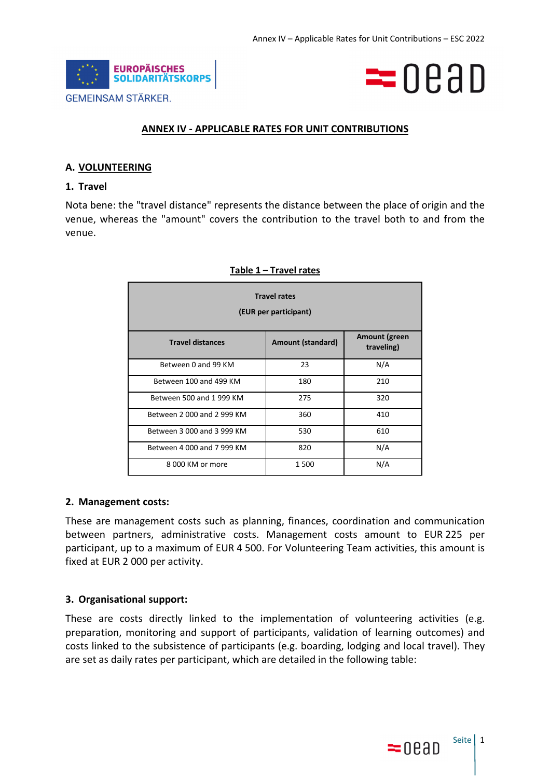



### **ANNEX IV - APPLICABLE RATES FOR UNIT CONTRIBUTIONS**

#### **A. VOLUNTEERING**

#### **1. Travel**

Nota bene: the "travel distance" represents the distance between the place of origin and the venue, whereas the "amount" covers the contribution to the travel both to and from the venue.

| <b>Travel rates</b><br>(EUR per participant) |                          |                             |  |
|----------------------------------------------|--------------------------|-----------------------------|--|
| <b>Travel distances</b>                      | <b>Amount (standard)</b> | Amount (green<br>traveling) |  |
| Between 0 and 99 KM                          | 23                       | N/A                         |  |
| Between 100 and 499 KM                       | 180                      | 210                         |  |
| Between 500 and 1999 KM                      | 275                      | 320                         |  |
| Between 2,000 and 2,999 KM                   | 360                      | 410                         |  |
| Between 3 000 and 3 999 KM                   | 530                      | 610                         |  |
| Between 4 000 and 7 999 KM                   | 820                      | N/A                         |  |
| 8 000 KM or more                             | 1500                     | N/A                         |  |

#### **Table 1 – Travel rates**

#### **2. Management costs:**

These are management costs such as planning, finances, coordination and communication between partners, administrative costs. Management costs amount to EUR 225 per participant, up to a maximum of EUR 4 500. For Volunteering Team activities, this amount is fixed at EUR 2 000 per activity.

#### **3. Organisational support:**

These are costs directly linked to the implementation of volunteering activities (e.g. preparation, monitoring and support of participants, validation of learning outcomes) and costs linked to the subsistence of participants (e.g. boarding, lodging and local travel). They are set as daily rates per participant, which are detailed in the following table: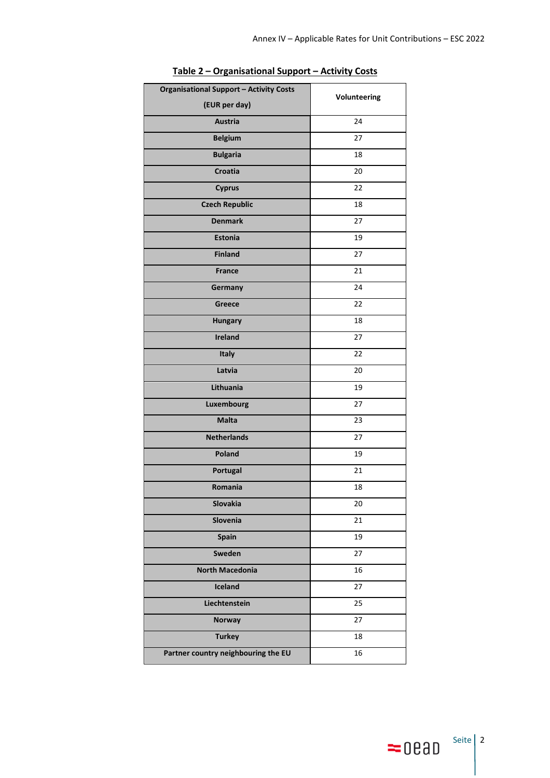| <b>Organisational Support - Activity Costs</b><br>(EUR per day) | Volunteering |
|-----------------------------------------------------------------|--------------|
| Austria                                                         | 24           |
| <b>Belgium</b>                                                  | 27           |
| <b>Bulgaria</b>                                                 | 18           |
| Croatia                                                         | 20           |
| <b>Cyprus</b>                                                   | 22           |
| <b>Czech Republic</b>                                           | 18           |
| <b>Denmark</b>                                                  | 27           |
| Estonia                                                         | 19           |
| <b>Finland</b>                                                  | 27           |
| <b>France</b>                                                   | 21           |
| Germany                                                         | 24           |
| Greece                                                          | 22           |
| <b>Hungary</b>                                                  | 18           |
| <b>Ireland</b>                                                  | 27           |
| <b>Italy</b>                                                    | 22           |
| Latvia                                                          | 20           |
| Lithuania                                                       | 19           |
| Luxembourg                                                      | 27           |
| <b>Malta</b>                                                    | 23           |
| <b>Netherlands</b>                                              | 27           |
| Poland                                                          | 19           |
| Portugal                                                        | 21           |
| Romania                                                         | 18           |
| Slovakia                                                        | 20           |
| Slovenia                                                        | 21           |
| Spain                                                           | 19           |
| Sweden                                                          | 27           |
| <b>North Macedonia</b>                                          | 16           |
| Iceland                                                         | 27           |
| Liechtenstein                                                   | 25           |
| <b>Norway</b>                                                   | 27           |
| <b>Turkey</b>                                                   | 18           |
| Partner country neighbouring the EU                             | 16           |

## **Table 2 – Organisational Support – Activity Costs**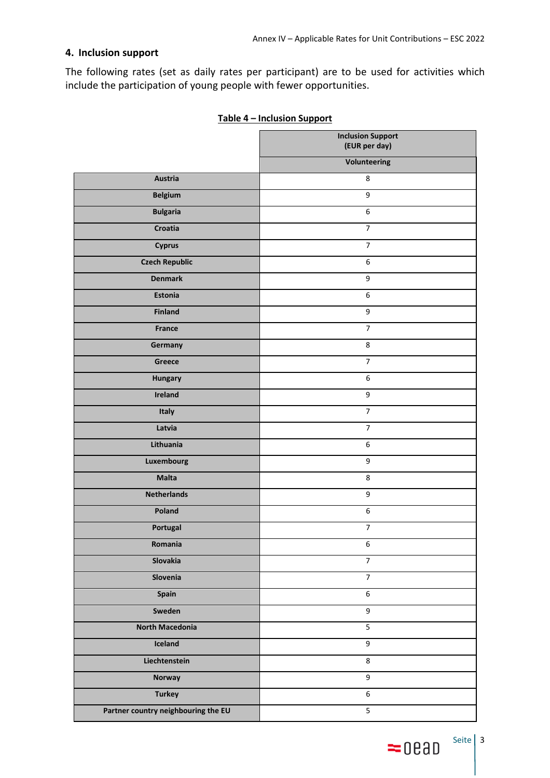## **4. Inclusion support**

The following rates (set as daily rates per participant) are to be used for activities which include the participation of young people with fewer opportunities.

|                                     | <b>Inclusion Support</b><br>(EUR per day) |
|-------------------------------------|-------------------------------------------|
|                                     | <b>Volunteering</b>                       |
| Austria                             | 8                                         |
| <b>Belgium</b>                      | 9                                         |
| <b>Bulgaria</b>                     | 6                                         |
| Croatia                             | $\overline{7}$                            |
| <b>Cyprus</b>                       | $\overline{7}$                            |
| <b>Czech Republic</b>               | 6                                         |
| <b>Denmark</b>                      | 9                                         |
| Estonia                             | 6                                         |
| <b>Finland</b>                      | 9                                         |
| France                              | $\overline{7}$                            |
| Germany                             | 8                                         |
| Greece                              | $\overline{7}$                            |
| <b>Hungary</b>                      | 6                                         |
| Ireland                             | 9                                         |
| Italy                               | $\overline{7}$                            |
| Latvia                              | $\overline{7}$                            |
| Lithuania                           | 6                                         |
| Luxembourg                          | 9                                         |
| Malta                               | 8                                         |
| <b>Netherlands</b>                  | 9                                         |
| Poland                              | 6                                         |
| Portugal                            | $\overline{7}$                            |
| Romania                             | 6                                         |
| Slovakia                            | $\overline{7}$                            |
| Slovenia                            | $\overline{7}$                            |
| Spain                               | 6                                         |
| Sweden                              | $\overline{9}$                            |
| <b>North Macedonia</b>              | $\overline{5}$                            |
| Iceland                             | $\overline{9}$                            |
| Liechtenstein                       | 8                                         |
| Norway                              | $\overline{9}$                            |
| <b>Turkey</b>                       | 6                                         |
| Partner country neighbouring the EU | $\overline{5}$                            |

#### **Table 4 – Inclusion Support**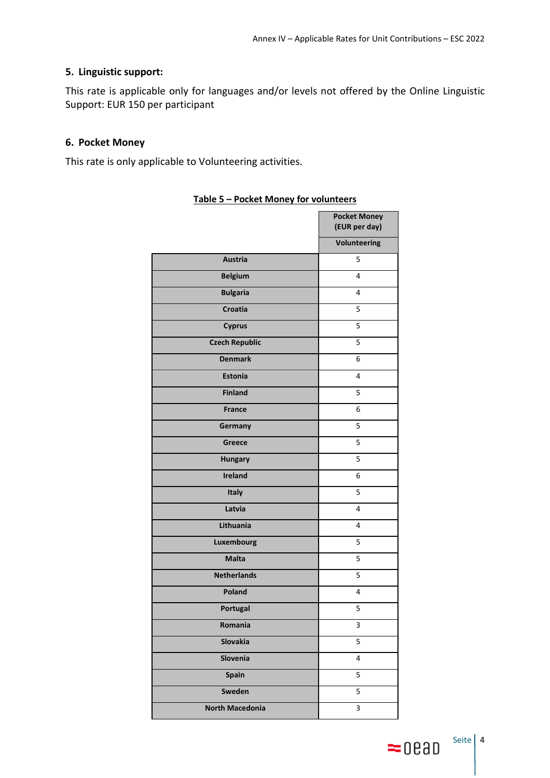# **5. Linguistic support:**

This rate is applicable only for languages and/or levels not offered by the Online Linguistic Support: EUR 150 per participant

#### **6. Pocket Money**

This rate is only applicable to Volunteering activities.

|                        | <b>Pocket Money</b><br>(EUR per day) |
|------------------------|--------------------------------------|
|                        | Volunteering                         |
| <b>Austria</b>         | 5                                    |
| <b>Belgium</b>         | 4                                    |
| <b>Bulgaria</b>        | 4                                    |
| <b>Croatia</b>         | 5                                    |
| <b>Cyprus</b>          | 5                                    |
| <b>Czech Republic</b>  | 5                                    |
| <b>Denmark</b>         | 6                                    |
| <b>Estonia</b>         | 4                                    |
| <b>Finland</b>         | 5                                    |
| <b>France</b>          | 6                                    |
| Germany                | 5                                    |
| Greece                 | 5                                    |
| <b>Hungary</b>         | 5                                    |
| <b>Ireland</b>         | 6                                    |
| Italy                  | 5                                    |
| Latvia                 | 4                                    |
| Lithuania              | 4                                    |
| Luxembourg             | 5                                    |
| <b>Malta</b>           | 5                                    |
| <b>Netherlands</b>     | 5                                    |
| Poland                 | 4                                    |
| Portugal               | 5                                    |
| Romania                | 3                                    |
| Slovakia               | 5                                    |
| Slovenia               | $\overline{\mathbf{4}}$              |
| <b>Spain</b>           | 5                                    |
| Sweden                 | 5                                    |
| <b>North Macedonia</b> | 3                                    |

### **Table 5 – Pocket Money for volunteers**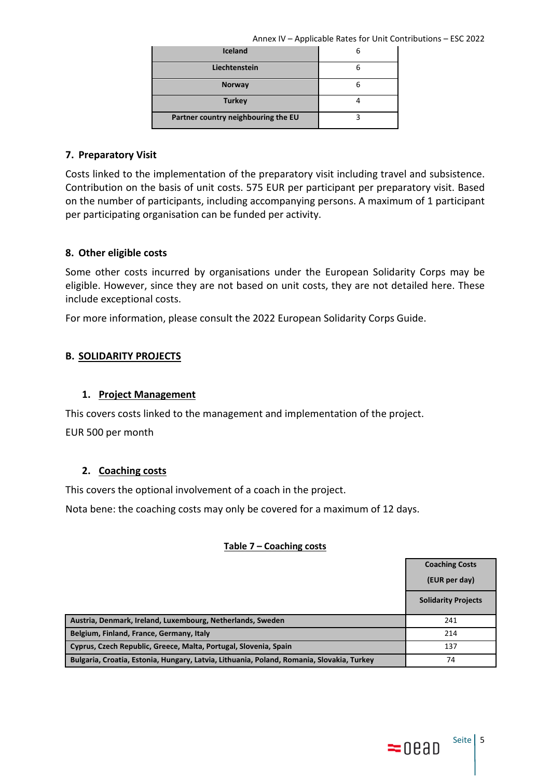|  |  | Annex IV - Applicable Rates for Unit Contributions - ESC 2022 |  |
|--|--|---------------------------------------------------------------|--|
|  |  |                                                               |  |

| <b>Iceland</b>                      |   |
|-------------------------------------|---|
| Liechtenstein                       |   |
| <b>Norway</b>                       | 6 |
| <b>Turkey</b>                       |   |
| Partner country neighbouring the EU |   |

## **7. Preparatory Visit**

Costs linked to the implementation of the preparatory visit including travel and subsistence. Contribution on the basis of unit costs. 575 EUR per participant per preparatory visit. Based on the number of participants, including accompanying persons. A maximum of 1 participant per participating organisation can be funded per activity.

## **8. Other eligible costs**

Some other costs incurred by organisations under the European Solidarity Corps may be eligible. However, since they are not based on unit costs, they are not detailed here. These include exceptional costs.

For more information, please consult the 2022 European Solidarity Corps Guide.

# **B. SOLIDARITY PROJECTS**

## **1. Project Management**

This covers costs linked to the management and implementation of the project.

EUR 500 per month

### **2. Coaching costs**

This covers the optional involvement of a coach in the project.

Nota bene: the coaching costs may only be covered for a maximum of 12 days.

### **Table 7 – Coaching costs**

|                                                                                           | <b>Coaching Costs</b>      |
|-------------------------------------------------------------------------------------------|----------------------------|
|                                                                                           | (EUR per day)              |
|                                                                                           | <b>Solidarity Projects</b> |
| Austria, Denmark, Ireland, Luxembourg, Netherlands, Sweden                                | 241                        |
| Belgium, Finland, France, Germany, Italy                                                  | 214                        |
| Cyprus, Czech Republic, Greece, Malta, Portugal, Slovenia, Spain                          | 137                        |
| Bulgaria, Croatia, Estonia, Hungary, Latvia, Lithuania, Poland, Romania, Slovakia, Turkey | 74                         |